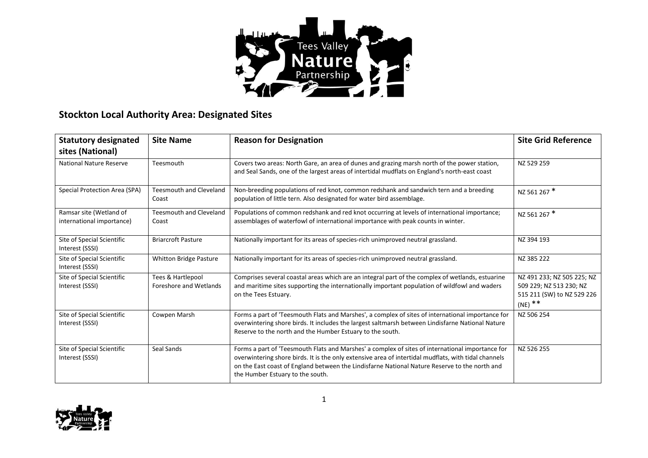

## **Stockton Local Authority Area: Designated Sites**

| <b>Statutory designated</b><br>sites (National)      | <b>Site Name</b>                            | <b>Reason for Designation</b>                                                                                                                                                                                                                                                                                                                 | <b>Site Grid Reference</b>                                                                       |
|------------------------------------------------------|---------------------------------------------|-----------------------------------------------------------------------------------------------------------------------------------------------------------------------------------------------------------------------------------------------------------------------------------------------------------------------------------------------|--------------------------------------------------------------------------------------------------|
| <b>National Nature Reserve</b>                       | Teesmouth                                   | Covers two areas: North Gare, an area of dunes and grazing marsh north of the power station,<br>and Seal Sands, one of the largest areas of intertidal mudflats on England's north-east coast                                                                                                                                                 | NZ 529 259                                                                                       |
| Special Protection Area (SPA)                        | <b>Teesmouth and Cleveland</b><br>Coast     | Non-breeding populations of red knot, common redshank and sandwich tern and a breeding<br>population of little tern. Also designated for water bird assemblage.                                                                                                                                                                               | NZ 561 267 *                                                                                     |
| Ramsar site (Wetland of<br>international importance) | <b>Teesmouth and Cleveland</b><br>Coast     | Populations of common redshank and red knot occurring at levels of international importance;<br>assemblages of waterfowl of international importance with peak counts in winter.                                                                                                                                                              | NZ 561 267 *                                                                                     |
| Site of Special Scientific<br>Interest (SSSI)        | <b>Briarcroft Pasture</b>                   | Nationally important for its areas of species-rich unimproved neutral grassland.                                                                                                                                                                                                                                                              | NZ 394 193                                                                                       |
| Site of Special Scientific<br>Interest (SSSI)        | Whitton Bridge Pasture                      | Nationally important for its areas of species-rich unimproved neutral grassland.                                                                                                                                                                                                                                                              | NZ 385 222                                                                                       |
| Site of Special Scientific<br>Interest (SSSI)        | Tees & Hartlepool<br>Foreshore and Wetlands | Comprises several coastal areas which are an integral part of the complex of wetlands, estuarine<br>and maritime sites supporting the internationally important population of wildfowl and waders<br>on the Tees Estuary.                                                                                                                     | NZ 491 233; NZ 505 225; NZ<br>509 229; NZ 513 230; NZ<br>515 211 (SW) to NZ 529 226<br>$(NE)$ ** |
| Site of Special Scientific<br>Interest (SSSI)        | Cowpen Marsh                                | Forms a part of 'Teesmouth Flats and Marshes', a complex of sites of international importance for<br>overwintering shore birds. It includes the largest saltmarsh between Lindisfarne National Nature<br>Reserve to the north and the Humber Estuary to the south.                                                                            | NZ 506 254                                                                                       |
| Site of Special Scientific<br>Interest (SSSI)        | Seal Sands                                  | Forms a part of 'Teesmouth Flats and Marshes' a complex of sites of international importance for<br>overwintering shore birds. It is the only extensive area of intertidal mudflats, with tidal channels<br>on the East coast of England between the Lindisfarne National Nature Reserve to the north and<br>the Humber Estuary to the south. | NZ 526 255                                                                                       |

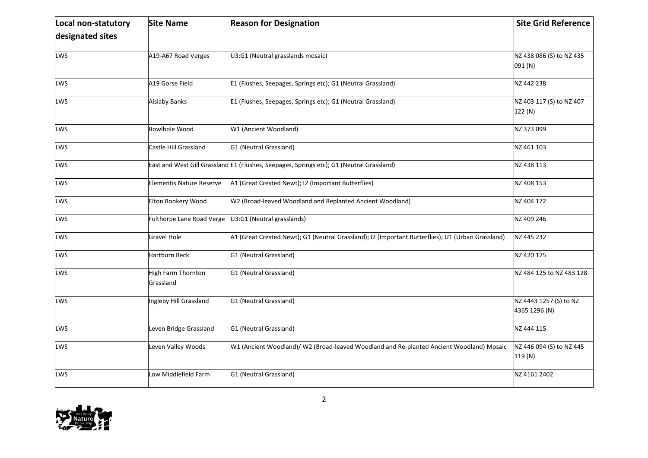| Local non-statutory | <b>Site Name</b>                | <b>Reason for Designation</b>                                                                     | <b>Site Grid Reference</b>              |
|---------------------|---------------------------------|---------------------------------------------------------------------------------------------------|-----------------------------------------|
| designated sites    |                                 |                                                                                                   |                                         |
| <b>LWS</b>          | A19-A67 Road Verges             | U3:G1 (Neutral grasslands mosaic)                                                                 | NZ 438 086 (S) to NZ 435<br>091 (N)     |
| LWS                 | A19 Gorse Field                 | E1 (Flushes, Seepages, Springs etc); G1 (Neutral Grassland)                                       | NZ 442 238                              |
| LWS                 | <b>Aislaby Banks</b>            | E1 (Flushes, Seepages, Springs etc); G1 (Neutral Grassland)                                       | NZ 403 117 (S) to NZ 407<br>122 (N)     |
| LWS                 | <b>Bowlhole Wood</b>            | W1 (Ancient Woodland)                                                                             | NZ 373 099                              |
| LWS                 | Castle Hill Grassland           | G1 (Neutral Grassland)                                                                            | NZ 461 103                              |
| LWS                 |                                 | East and West Gill Grassland E1 (Flushes, Seepages, Springs etc); G1 (Neutral Grassland)          | NZ 438 113                              |
| LWS                 | <b>Elementis Nature Reserve</b> | A1 (Great Crested Newt); I2 (Important Butterflies)                                               | NZ 408 153                              |
| LWS                 | Elton Rookery Wood              | W2 (Broad-leaved Woodland and Replanted Ancient Woodland)                                         | NZ 404 172                              |
| LWS                 | Fulthorpe Lane Road Verge       | U3:G1 (Neutral grasslands)                                                                        | NZ 409 246                              |
| LWS                 | <b>Gravel Hole</b>              | A1 (Great Crested Newt); G1 (Neutral Grassland); I2 (Important Butterflies); U1 (Urban Grassland) | NZ 445 232                              |
| LWS                 | <b>Hartburn Beck</b>            | G1 (Neutral Grassland)                                                                            | NZ 420 175                              |
| LWS                 | High Farm Thornton<br>Grassland | G1 (Neutral Grassland)                                                                            | NZ 484 125 to NZ 483 128                |
| LWS                 | Ingleby Hill Grassland          | G1 (Neutral Grassland)                                                                            | NZ 4443 1257 (S) to NZ<br>4365 1296 (N) |
| LWS                 | Leven Bridge Grassland          | G1 (Neutral Grassland)                                                                            | NZ 444 115                              |
| LWS                 | Leven Valley Woods              | W1 (Ancient Woodland)/ W2 (Broad-leaved Woodland and Re-planted Ancient Woodland) Mosaic          | NZ 446 094 (S) to NZ 445<br>119(N)      |
| LWS                 | Low Middlefield Farm            | G1 (Neutral Grassland)                                                                            | NZ 4161 2402                            |

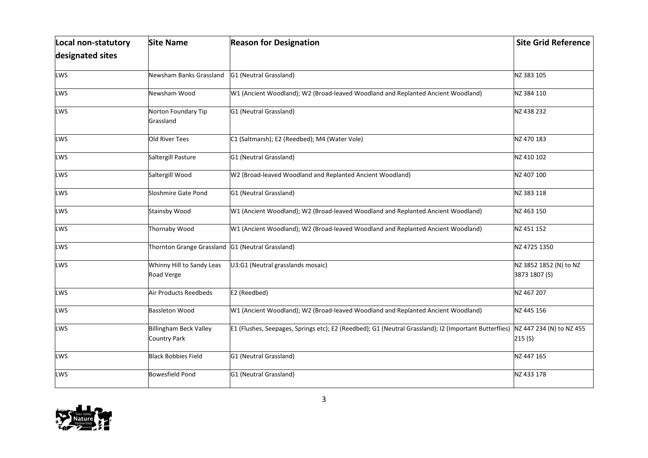| Local non-statutory | <b>Site Name</b>                                     | <b>Reason for Designation</b>                                                                         | <b>Site Grid Reference</b>              |
|---------------------|------------------------------------------------------|-------------------------------------------------------------------------------------------------------|-----------------------------------------|
| designated sites    |                                                      |                                                                                                       |                                         |
| <b>LWS</b>          | Newsham Banks Grassland                              | G1 (Neutral Grassland)                                                                                | NZ 383 105                              |
| LWS                 | Newsham Wood                                         | W1 (Ancient Woodland); W2 (Broad-leaved Woodland and Replanted Ancient Woodland)                      | NZ 384 110                              |
| LWS                 | Norton Foundary Tip<br>Grassland                     | G1 (Neutral Grassland)                                                                                | NZ 438 232                              |
| <b>LWS</b>          | <b>Old River Tees</b>                                | C1 (Saltmarsh); E2 (Reedbed); M4 (Water Vole)                                                         | NZ 470 183                              |
| LWS                 | Saltergill Pasture                                   | G1 (Neutral Grassland)                                                                                | NZ 410 102                              |
| <b>LWS</b>          | Saltergill Wood                                      | W2 (Broad-leaved Woodland and Replanted Ancient Woodland)                                             | NZ 407 100                              |
| <b>LWS</b>          | Sloshmire Gate Pond                                  | G1 (Neutral Grassland)                                                                                | NZ 383 118                              |
| LWS                 | <b>Stainsby Wood</b>                                 | W1 (Ancient Woodland); W2 (Broad-leaved Woodland and Replanted Ancient Woodland)                      | NZ 463 150                              |
| LWS                 | Thornaby Wood                                        | W1 (Ancient Woodland); W2 (Broad-leaved Woodland and Replanted Ancient Woodland)                      | NZ 451 152                              |
| <b>LWS</b>          | Thornton Grange Grassland                            | G1 (Neutral Grassland)                                                                                | NZ 4725 1350                            |
| <b>LWS</b>          | Whinny Hill to Sandy Leas<br>Road Verge              | U3:G1 (Neutral grasslands mosaic)                                                                     | NZ 3852 1852 (N) to NZ<br>3873 1807 (S) |
| <b>LWS</b>          | Air Products Reedbeds                                | E2 (Reedbed)                                                                                          | NZ 467 207                              |
| <b>LWS</b>          | <b>Bassleton Wood</b>                                | W1 (Ancient Woodland); W2 (Broad-leaved Woodland and Replanted Ancient Woodland)                      | NZ 445 156                              |
| LWS                 | <b>Billingham Beck Valley</b><br><b>Country Park</b> | E1 (Flushes, Seepages, Springs etc); E2 (Reedbed); G1 (Neutral Grassland); I2 (Important Butterflies) | NZ 447 234 (N) to NZ 455<br>215(S)      |
| LWS                 | <b>Black Bobbies Field</b>                           | G1 (Neutral Grassland)                                                                                | NZ 447 165                              |
| <b>LWS</b>          | <b>Bowesfield Pond</b>                               | G1 (Neutral Grassland)                                                                                | NZ 433 178                              |

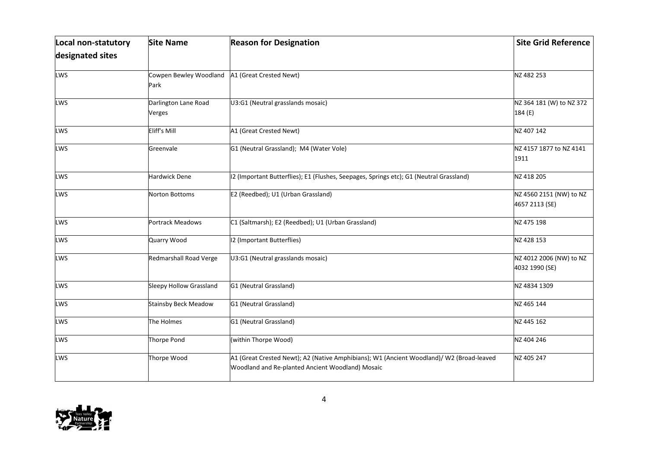| Local non-statutory | <b>Site Name</b>               | <b>Reason for Designation</b>                                                                                                                | <b>Site Grid Reference</b>                |
|---------------------|--------------------------------|----------------------------------------------------------------------------------------------------------------------------------------------|-------------------------------------------|
| designated sites    |                                |                                                                                                                                              |                                           |
| <b>LWS</b>          | Cowpen Bewley Woodland<br>Park | A1 (Great Crested Newt)                                                                                                                      | NZ 482 253                                |
| LWS                 | Darlington Lane Road<br>Verges | U3:G1 (Neutral grasslands mosaic)                                                                                                            | NZ 364 181 (W) to NZ 372<br>184 (E)       |
| <b>LWS</b>          | Eliff's Mill                   | A1 (Great Crested Newt)                                                                                                                      | NZ 407 142                                |
| <b>LWS</b>          | Greenvale                      | G1 (Neutral Grassland); M4 (Water Vole)                                                                                                      | NZ 4157 1877 to NZ 4141<br>1911           |
| <b>LWS</b>          | Hardwick Dene                  | 12 (Important Butterflies); E1 (Flushes, Seepages, Springs etc); G1 (Neutral Grassland)                                                      | NZ 418 205                                |
| LWS                 | Norton Bottoms                 | E2 (Reedbed); U1 (Urban Grassland)                                                                                                           | NZ 4560 2151 (NW) to NZ<br>4657 2113 (SE) |
| <b>LWS</b>          | Portrack Meadows               | C1 (Saltmarsh); E2 (Reedbed); U1 (Urban Grassland)                                                                                           | NZ 475 198                                |
| LWS                 | Quarry Wood                    | 12 (Important Butterflies)                                                                                                                   | NZ 428 153                                |
| LWS                 | Redmarshall Road Verge         | U3:G1 (Neutral grasslands mosaic)                                                                                                            | NZ 4012 2006 (NW) to NZ<br>4032 1990 (SE) |
| <b>LWS</b>          | Sleepy Hollow Grassland        | G1 (Neutral Grassland)                                                                                                                       | NZ 4834 1309                              |
| <b>LWS</b>          | <b>Stainsby Beck Meadow</b>    | G1 (Neutral Grassland)                                                                                                                       | NZ 465 144                                |
| LWS                 | The Holmes                     | G1 (Neutral Grassland)                                                                                                                       | NZ 445 162                                |
| <b>LWS</b>          | Thorpe Pond                    | (within Thorpe Wood)                                                                                                                         | NZ 404 246                                |
| <b>LWS</b>          | Thorpe Wood                    | A1 (Great Crested Newt); A2 (Native Amphibians); W1 (Ancient Woodland)/ W2 (Broad-leaved<br>Woodland and Re-planted Ancient Woodland) Mosaic | NZ 405 247                                |

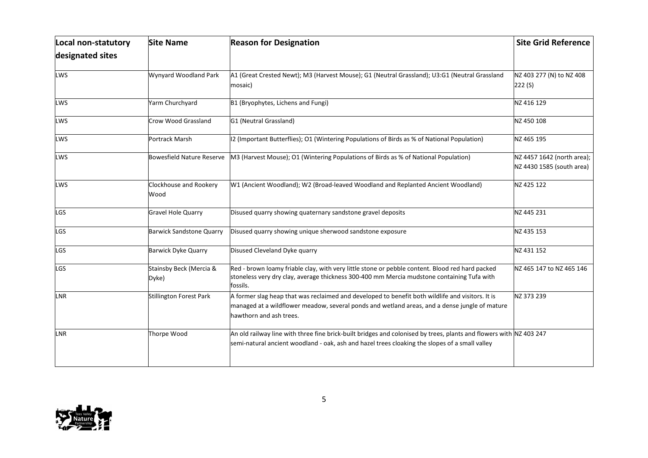| Local non-statutory | <b>Site Name</b>                 | <b>Reason for Designation</b>                                                                                                                                                                                                | <b>Site Grid Reference</b>                              |
|---------------------|----------------------------------|------------------------------------------------------------------------------------------------------------------------------------------------------------------------------------------------------------------------------|---------------------------------------------------------|
| designated sites    |                                  |                                                                                                                                                                                                                              |                                                         |
| LWS                 | Wynyard Woodland Park            | A1 (Great Crested Newt); M3 (Harvest Mouse); G1 (Neutral Grassland); U3:G1 (Neutral Grassland<br>mosaic)                                                                                                                     | NZ 403 277 (N) to NZ 408<br>222(S)                      |
| LWS                 | Yarm Churchyard                  | B1 (Bryophytes, Lichens and Fungi)                                                                                                                                                                                           | NZ 416 129                                              |
| LWS                 | Crow Wood Grassland              | G1 (Neutral Grassland)                                                                                                                                                                                                       | NZ 450 108                                              |
| <b>LWS</b>          | Portrack Marsh                   | [12 (Important Butterflies); O1 (Wintering Populations of Birds as % of National Population)                                                                                                                                 | NZ 465 195                                              |
| LWS                 | <b>Bowesfield Nature Reserve</b> | M3 (Harvest Mouse); O1 (Wintering Populations of Birds as % of National Population)                                                                                                                                          | NZ 4457 1642 (north area);<br>NZ 4430 1585 (south area) |
| LWS                 | Clockhouse and Rookery<br>Wood   | W1 (Ancient Woodland); W2 (Broad-leaved Woodland and Replanted Ancient Woodland)                                                                                                                                             | NZ 425 122                                              |
| LGS                 | <b>Gravel Hole Quarry</b>        | Disused quarry showing quaternary sandstone gravel deposits                                                                                                                                                                  | NZ 445 231                                              |
| <b>LGS</b>          | <b>Barwick Sandstone Quarry</b>  | Disused quarry showing unique sherwood sandstone exposure                                                                                                                                                                    | NZ 435 153                                              |
| LGS                 | <b>Barwick Dyke Quarry</b>       | Disused Cleveland Dyke quarry                                                                                                                                                                                                | NZ 431 152                                              |
| LGS                 | Stainsby Beck (Mercia &<br>Dyke) | Red - brown loamy friable clay, with very little stone or pebble content. Blood red hard packed<br>stoneless very dry clay, average thickness 300-400 mm Mercia mudstone containing Tufa with<br>fossils.                    | NZ 465 147 to NZ 465 146                                |
| LNR                 | Stillington Forest Park          | A former slag heap that was reclaimed and developed to benefit both wildlife and visitors. It is<br>managed at a wildflower meadow, several ponds and wetland areas, and a dense jungle of mature<br>hawthorn and ash trees. | NZ 373 239                                              |
| LNR                 | Thorpe Wood                      | An old railway line with three fine brick-built bridges and colonised by trees, plants and flowers with NZ 403 247<br>semi-natural ancient woodland - oak, ash and hazel trees cloaking the slopes of a small valley         |                                                         |

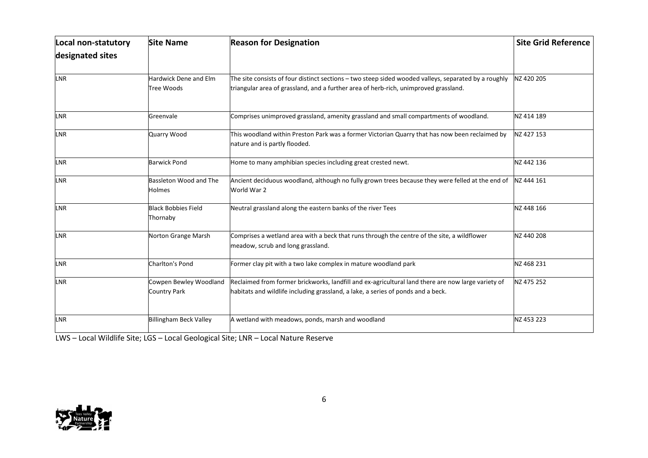| Local non-statutory | <b>Site Name</b>                              | <b>Reason for Designation</b>                                                                                                                                                                | <b>Site Grid Reference</b> |
|---------------------|-----------------------------------------------|----------------------------------------------------------------------------------------------------------------------------------------------------------------------------------------------|----------------------------|
| designated sites    |                                               |                                                                                                                                                                                              |                            |
| LNR                 | Hardwick Dene and Elm<br>Tree Woods           | The site consists of four distinct sections - two steep sided wooded valleys, separated by a roughly<br>triangular area of grassland, and a further area of herb-rich, unimproved grassland. | NZ 420 205                 |
| LNR                 | Greenvale                                     | Comprises unimproved grassland, amenity grassland and small compartments of woodland.                                                                                                        | NZ 414 189                 |
| LNR                 | Quarry Wood                                   | This woodland within Preston Park was a former Victorian Quarry that has now been reclaimed by<br>nature and is partly flooded.                                                              | NZ 427 153                 |
| LNR                 | <b>Barwick Pond</b>                           | Home to many amphibian species including great crested newt.                                                                                                                                 | NZ 442 136                 |
| <b>LNR</b>          | Bassleton Wood and The<br><b>Holmes</b>       | Ancient deciduous woodland, although no fully grown trees because they were felled at the end of<br>World War 2                                                                              | NZ 444 161                 |
| LNR                 | <b>Black Bobbies Field</b><br>Thornaby        | Neutral grassland along the eastern banks of the river Tees                                                                                                                                  | NZ 448 166                 |
| <b>LNR</b>          | Norton Grange Marsh                           | Comprises a wetland area with a beck that runs through the centre of the site, a wildflower<br>meadow, scrub and long grassland.                                                             | NZ 440 208                 |
| <b>LNR</b>          | Charlton's Pond                               | Former clay pit with a two lake complex in mature woodland park                                                                                                                              | NZ 468 231                 |
| LNR                 | Cowpen Bewley Woodland<br><b>Country Park</b> | Reclaimed from former brickworks, landfill and ex-agricultural land there are now large variety of<br>habitats and wildlife including grassland, a lake, a series of ponds and a beck.       | NZ 475 252                 |
| <b>LNR</b>          | <b>Billingham Beck Valley</b>                 | A wetland with meadows, ponds, marsh and woodland                                                                                                                                            | NZ 453 223                 |

LWS – Local Wildlife Site; LGS – Local Geological Site; LNR – Local Nature Reserve